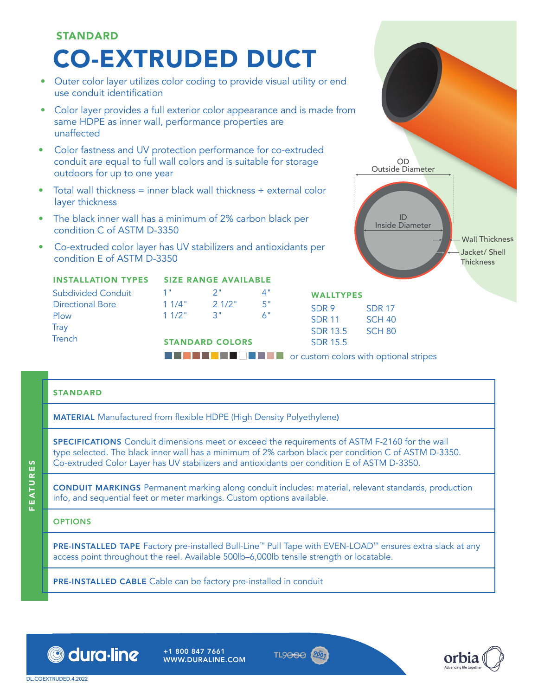

# STANDARD

MATERIAL Manufactured from flexible HDPE (High Density Polyethylene)

SPECIFICATIONS Conduit dimensions meet or exceed the requirements of ASTM F-2160 for the wall type selected. The black inner wall has a minimum of 2% carbon black per condition C of ASTM D-3350. Co-extruded Color Layer has UV stabilizers and antioxidants per condition E of ASTM D-3350.

CONDUIT MARKINGS Permanent marking along conduit includes: material, relevant standards, production info, and sequential feet or meter markings. Custom options available.

### **OPTIONS**

PRE-INSTALLED TAPE Factory pre-installed Bull-Line™ Pull Tape with EVEN-LOAD™ ensures extra slack at any access point throughout the reel. Available 500lb–6,000lb tensile strength or locatable.

PRE-INSTALLED CABLE Cable can be factory pre-installed in conduit



+1 800 847 7661 WWW.DURALINE.COM



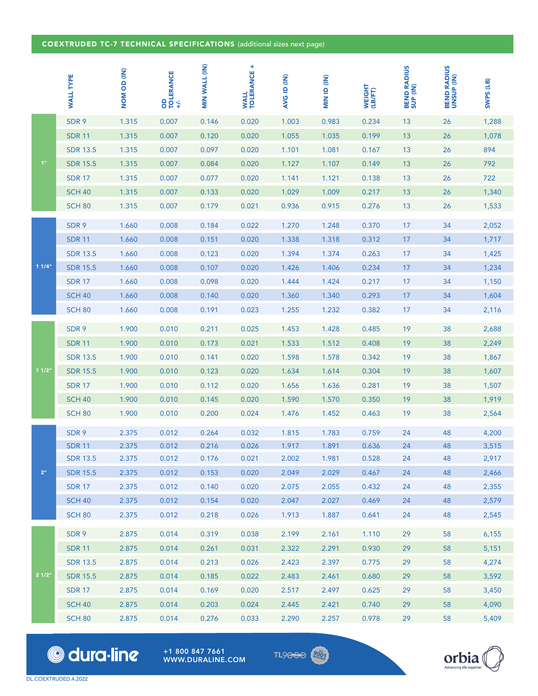## COEXTRUDED TC-7 TECHNICAL SPECIFICATIONS (additional sizes next page)

|                | <b>WALL TYPE</b> | (IN) QD MON | OD<br>TOLERANCE<br>+/. | MIN WALL (IN) | <b>WALL<br/>TOLERANCE +</b> | <b>AVGID (IN)</b> | MIN ID (IN) | WEIGHT<br>(LB/FT) | <b>BEND RADIUS<br/>SUP (IN)</b> | <b>BEND RADIUS<br/>UNSUP (IN)</b> | SWPS (LB) |
|----------------|------------------|-------------|------------------------|---------------|-----------------------------|-------------------|-------------|-------------------|---------------------------------|-----------------------------------|-----------|
|                | SDR 9            | 1.315       | 0.007                  | 0.146         | 0.020                       | 1.003             | 0.983       | 0.234             | 13                              | 26                                | 1,288     |
|                | <b>SDR 11</b>    | 1.315       | 0.007                  | 0.120         | 0.020                       | 1.055             | 1.035       | 0.199             | 13                              | 26                                | 1,078     |
|                | <b>SDR 13.5</b>  | 1.315       | 0.007                  | 0.097         | 0.020                       | 1.101             | 1.081       | 0.167             | 13                              | 26                                | 894       |
| 1"             | <b>SDR 15.5</b>  | 1.315       | 0.007                  | 0.084         | 0.020                       | 1.127             | 1.107       | 0.149             | 13                              | 26                                | 792       |
|                | <b>SDR 17</b>    | 1.315       | 0.007                  | 0.077         | 0.020                       | 1.141             | 1.121       | 0.138             | 13                              | 26                                | 722       |
|                | <b>SCH 40</b>    | 1.315       | 0.007                  | 0.133         | 0.020                       | 1.029             | 1.009       | 0.217             | 13                              | 26                                | 1,340     |
|                | <b>SCH 80</b>    | 1.315       | 0.007                  | 0.179         | 0.021                       | 0.936             | 0.915       | 0.276             | 13                              | 26                                | 1,533     |
|                | SDR 9            | 1.660       | 0.008                  | 0.184         | 0.022                       | 1.270             | 1.248       | 0.370             | 17                              | 34                                | 2,052     |
|                | <b>SDR 11</b>    | 1.660       | 0.008                  | 0.151         | 0.020                       | 1.338             | 1.318       | 0.312             | 17                              | 34                                | 1,717     |
|                | <b>SDR 13.5</b>  | 1.660       | 0.008                  | 0.123         | 0.020                       | 1.394             | 1.374       | 0.263             | 17                              | 34                                | 1,425     |
| 11/4"          | <b>SDR 15.5</b>  | 1.660       | 0.008                  | 0.107         | 0.020                       | 1.426             | 1.406       | 0.234             | 17                              | 34                                | 1,234     |
|                | <b>SDR 17</b>    | 1.660       | 0.008                  | 0.098         | 0.020                       | 1.444             | 1.424       | 0.217             | 17                              | 34                                | 1,150     |
|                | <b>SCH 40</b>    | 1.660       | 0.008                  | 0.140         | 0.020                       | 1.360             | 1.340       | 0.293             | 17                              | 34                                | 1,604     |
|                | <b>SCH 80</b>    | 1.660       | 0.008                  | 0.191         | 0.023                       | 1.255             | 1.232       | 0.382             | 17                              | 34                                | 2,116     |
|                | SDR 9            | 1.900       | 0.010                  | 0.211         | 0.025                       | 1.453             | 1.428       | 0.485             | 19                              | 38                                | 2,688     |
| 11/2"          | <b>SDR 11</b>    | 1.900       | 0.010                  | 0.173         | 0.021                       | 1.533             | 1.512       | 0.408             | 19                              | 38                                | 2,249     |
|                | <b>SDR 13.5</b>  | 1.900       | 0.010                  | 0.141         | 0.020                       | 1.598             | 1.578       | 0.342             | 19                              | 38                                | 1,867     |
|                | <b>SDR 15.5</b>  | 1.900       | 0.010                  | 0.123         | 0.020                       | 1.634             | 1.614       | 0.304             | 19                              | 38                                | 1,607     |
|                | <b>SDR 17</b>    | 1.900       | 0.010                  | 0.112         | 0.020                       | 1.656             | 1.636       | 0.281             | 19                              | 38                                | 1,507     |
|                | <b>SCH 40</b>    | 1.900       | 0.010                  | 0.145         | 0.020                       | 1.590             | 1.570       | 0.350             | 19                              | 38                                | 1,919     |
|                | <b>SCH 80</b>    | 1.900       | 0.010                  | 0.200         | 0.024                       | 1.476             | 1.452       | 0.463             | 19                              | 38                                | 2,564     |
|                | SDR 9            | 2.375       | 0.012                  | 0.264         | 0.032                       | 1.815             | 1.783       | 0.759             | 24                              | 48                                | 4,200     |
|                | <b>SDR 11</b>    | 2.375       | 0.012                  | 0.216         | 0.026                       | 1.917             | 1.891       | 0.636             | 24                              | 48                                | 3,515     |
| 2 <sup>n</sup> | <b>SDR 13.5</b>  | 2.375       | 0.012                  | 0.176         | 0.021                       | 2.002             | 1.981       | 0.528             | 24                              | 48                                | 2,917     |
|                | <b>SDR 15.5</b>  | 2.375       | 0.012                  | 0.153         | 0.020                       | 2.049             | 2.029       | 0.467             | 24                              | 48                                | 2,466     |
|                | <b>SDR 17</b>    | 2.375       | 0.012                  | 0.140         | 0.020                       | 2.075             | 2.055       | 0.432             | 24                              | 48                                | 2,355     |
|                | <b>SCH 40</b>    | 2.375       | 0.012                  | 0.154         | 0.020                       | 2.047             | 2.027       | 0.469             | 24                              | 48                                | 2,579     |
|                | <b>SCH 80</b>    | 2.375       | 0.012                  | 0.218         | 0.026                       | 1.913             | 1.887       | 0.641             | 24                              | 48                                | 2,545     |
| 21/2"          | SDR 9            | 2.875       | 0.014                  | 0.319         | 0.038                       | 2.199             | 2.161       | 1.110             | 29                              | 58                                | 6,155     |
|                | <b>SDR 11</b>    | 2.875       | 0.014                  | 0.261         | 0.031                       | 2.322             | 2.291       | 0.930             | 29                              | 58                                | 5,151     |
|                | <b>SDR 13.5</b>  | 2.875       | 0.014                  | 0.213         | 0.026                       | 2.423             | 2.397       | 0.775             | 29                              | 58                                | 4,274     |
|                | <b>SDR 15.5</b>  | 2.875       | 0.014                  | 0.185         | 0.022                       | 2.483             | 2.461       | 0.680             | 29                              | 58                                | 3,592     |
|                | <b>SDR 17</b>    | 2.875       | 0.014                  | 0.169         | 0.020                       | 2.517             | 2.497       | 0.625             | 29                              | 58                                | 3,450     |
|                | <b>SCH 40</b>    | 2.875       | 0.014                  | 0.203         | 0.024                       | 2.445             | 2.421       | 0.740             | 29                              | 58                                | 4,090     |
|                | <b>SCH 80</b>    | 2.875       | 0.014                  | 0.276         | 0.033                       | 2.290             | 2.257       | 0.978             | 29                              | 58                                | 5,409     |

© dura·line

+1 800 847 7661 WWW.DURALINE.COM **TL9000 2001**